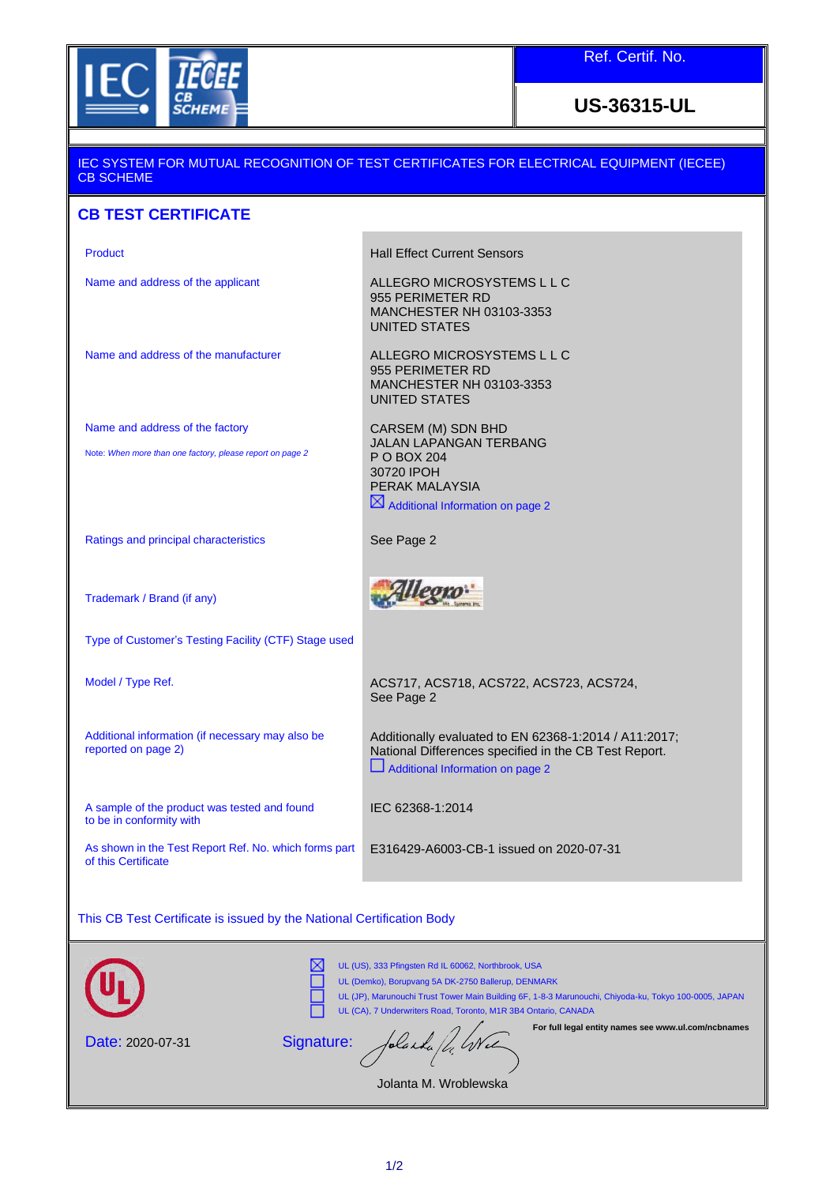

Ref. Certif. No.

**US-36315-UL**

### IEC SYSTEM FOR MUTUAL RECOGNITION OF TEST CERTIFICATES FOR ELECTRICAL EQUIPMENT (IECEE) CB SCHEME

## **CB TEST CERTIFICATE**

Name and address of the applicant ALLEGRO MICROSYSTEMS L L C

Product **Product Hall Effect Current Sensors** 

955 PERIMETER RD

CARSEM (M) SDN BHD

UNITED STATES

955 PERIMETER RD MANCHESTER NH 03103-3353 UNITED STATES

Name and address of the manufacturer ALLEGRO MICROSYSTEMS L L C

Name and address of the factory

Note: *When more than one factory, please report on page 2*

JALAN LAPANGAN TERBANG P O BOX 204 30720 IPOH PERAK MALAYSIA  $\boxtimes$  Additional Information on page 2

MANCHESTER NH 03103-3353

Ratings and principal characteristics See Page 2

Allegro

Trademark / Brand (if any)

Type of Customer's Testing Facility (CTF) Stage used

Additional information (if necessary may also be reported on page 2)

A sample of the product was tested and found to be in conformity with

As shown in the Test Report Ref. No. which forms part of this Certificate

Model / Type Ref. **ACS717, ACS718, ACS722, ACS723, ACS724**, See Page 2

> Additionally evaluated to EN 62368-1:2014 / A11:2017; National Differences specified in the CB Test Report. Additional Information on page 2

IEC 62368-1:2014

E316429-A6003-CB-1 issued on 2020-07-31

This CB Test Certificate is issued by the National Certification Body

|                  | UL (US), 333 Pfingsten Rd IL 60062, Northbrook, USA<br>UL (Demko), Borupvang 5A DK-2750 Ballerup, DENMARK<br>UL (JP), Marunouchi Trust Tower Main Building 6F, 1-8-3 Marunouchi, Chiyoda-ku, Tokyo 100-0005, JAPAN<br>UL (CA), 7 Underwriters Road, Toronto, M1R 3B4 Ontario, CANADA |
|------------------|--------------------------------------------------------------------------------------------------------------------------------------------------------------------------------------------------------------------------------------------------------------------------------------|
| Date: 2020-07-31 | For full legal entity names see www.ul.com/ncbnames<br>Signature: folacida fl. Wel<br>Jolanta M. Wroblewska                                                                                                                                                                          |